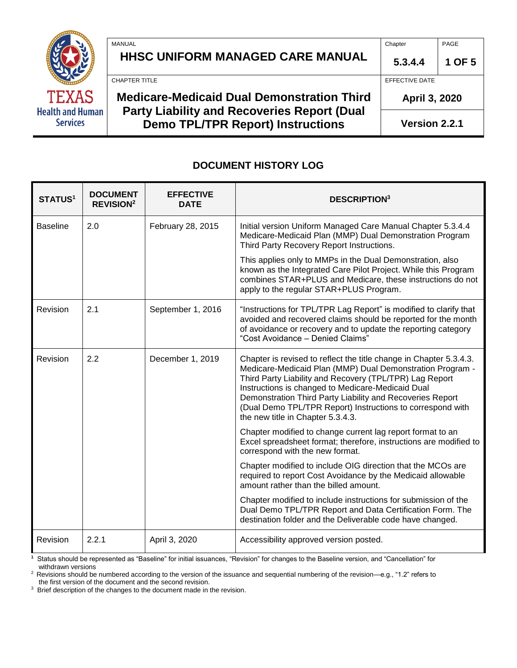| TEXAS                                      |
|--------------------------------------------|
| <b>Health and Human</b><br><b>Services</b> |

| <b>Medicare-Medicaid Dual Demonstration Third</b><br><b>Party Liability and Recoveries Report (Dual</b> | EFFECTIVE DATE<br>April 3, 2020 |        |
|---------------------------------------------------------------------------------------------------------|---------------------------------|--------|
| CHAPTER TITLE                                                                                           |                                 |        |
| <b>HHSC UNIFORM MANAGED CARE MANUAL</b>                                                                 | 5.3.4.4                         | 1 OF 5 |
| MANUAL                                                                                                  | Chapter                         | PAGE   |

**Version 2.2.1**

#### **DOCUMENT HISTORY LOG**

**Demo TPL/TPR Report) Instructions**

| <b>STATUS1</b>  | <b>DOCUMENT</b><br><b>REVISION<sup>2</sup></b> | <b>EFFECTIVE</b><br>DATE | <b>DESCRIPTION</b> <sup>3</sup>                                                                                                                                                                                                                                                                                                                                                                                 |
|-----------------|------------------------------------------------|--------------------------|-----------------------------------------------------------------------------------------------------------------------------------------------------------------------------------------------------------------------------------------------------------------------------------------------------------------------------------------------------------------------------------------------------------------|
| <b>Baseline</b> | 2.0                                            | February 28, 2015        | Initial version Uniform Managed Care Manual Chapter 5.3.4.4<br>Medicare-Medicaid Plan (MMP) Dual Demonstration Program<br>Third Party Recovery Report Instructions.                                                                                                                                                                                                                                             |
|                 |                                                |                          | This applies only to MMPs in the Dual Demonstration, also<br>known as the Integrated Care Pilot Project. While this Program<br>combines STAR+PLUS and Medicare, these instructions do not<br>apply to the regular STAR+PLUS Program.                                                                                                                                                                            |
| Revision        | 2.1                                            | September 1, 2016        | "Instructions for TPL/TPR Lag Report" is modified to clarify that<br>avoided and recovered claims should be reported for the month<br>of avoidance or recovery and to update the reporting category<br>"Cost Avoidance - Denied Claims"                                                                                                                                                                         |
| Revision        | 2.2                                            | December 1, 2019         | Chapter is revised to reflect the title change in Chapter 5.3.4.3.<br>Medicare-Medicaid Plan (MMP) Dual Demonstration Program -<br>Third Party Liability and Recovery (TPL/TPR) Lag Report<br>Instructions is changed to Medicare-Medicaid Dual<br>Demonstration Third Party Liability and Recoveries Report<br>(Dual Demo TPL/TPR Report) Instructions to correspond with<br>the new title in Chapter 5.3.4.3. |
|                 |                                                |                          | Chapter modified to change current lag report format to an<br>Excel spreadsheet format; therefore, instructions are modified to<br>correspond with the new format.                                                                                                                                                                                                                                              |
|                 |                                                |                          | Chapter modified to include OIG direction that the MCOs are<br>required to report Cost Avoidance by the Medicaid allowable<br>amount rather than the billed amount.                                                                                                                                                                                                                                             |
|                 |                                                |                          | Chapter modified to include instructions for submission of the<br>Dual Demo TPL/TPR Report and Data Certification Form. The<br>destination folder and the Deliverable code have changed.                                                                                                                                                                                                                        |
| Revision        | 2.2.1                                          | April 3, 2020            | Accessibility approved version posted.                                                                                                                                                                                                                                                                                                                                                                          |

**1** Status should be represented as "Baseline" for initial issuances, "Revision" for changes to the Baseline version, and "Cancellation" for withdrawn versions

<sup>2</sup> Revisions should be numbered according to the version of the issuance and sequential numbering of the revision-e.g., "1.2" refers to the first version of the document and the second revision.

<sup>3</sup> Brief description of the changes to the document made in the revision.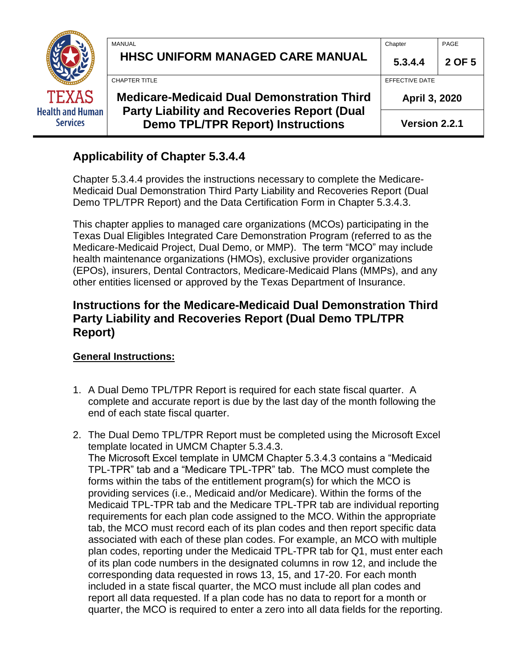|                                            | MANUAL<br><b>HHSC UNIFORM MANAGED CARE MANUAL</b>                                              | Chapter<br>5.3.4.4 | PAGE<br>2 OF 5 |
|--------------------------------------------|------------------------------------------------------------------------------------------------|--------------------|----------------|
|                                            | <b>CHAPTER TITLE</b>                                                                           | EFFECTIVE DATE     |                |
| <b>TEXAS</b>                               | <b>Medicare-Medicaid Dual Demonstration Third</b>                                              | April 3, 2020      |                |
| <b>Health and Human</b><br><b>Services</b> | <b>Party Liability and Recoveries Report (Dual</b><br><b>Demo TPL/TPR Report) Instructions</b> | Version 2.2.1      |                |

# **Applicability of Chapter 5.3.4.4**

Chapter 5.3.4.4 provides the instructions necessary to complete the Medicare-Medicaid Dual Demonstration Third Party Liability and Recoveries Report (Dual Demo TPL/TPR Report) and the Data Certification Form in Chapter 5.3.4.3.

This chapter applies to managed care organizations (MCOs) participating in the Texas Dual Eligibles Integrated Care Demonstration Program (referred to as the Medicare-Medicaid Project, Dual Demo, or MMP). The term "MCO" may include health maintenance organizations (HMOs), exclusive provider organizations (EPOs), insurers, Dental Contractors, Medicare-Medicaid Plans (MMPs), and any other entities licensed or approved by the Texas Department of Insurance.

## **Instructions for the Medicare-Medicaid Dual Demonstration Third Party Liability and Recoveries Report (Dual Demo TPL/TPR Report)**

### **General Instructions:**

- 1. A Dual Demo TPL/TPR Report is required for each state fiscal quarter. A complete and accurate report is due by the last day of the month following the end of each state fiscal quarter.
- 2. The Dual Demo TPL/TPR Report must be completed using the Microsoft Excel template located in UMCM Chapter 5.3.4.3. The Microsoft Excel template in UMCM Chapter 5.3.4.3 contains a "Medicaid TPL-TPR" tab and a "Medicare TPL-TPR" tab. The MCO must complete the forms within the tabs of the entitlement program(s) for which the MCO is providing services (i.e., Medicaid and/or Medicare). Within the forms of the Medicaid TPL-TPR tab and the Medicare TPL-TPR tab are individual reporting requirements for each plan code assigned to the MCO. Within the appropriate tab, the MCO must record each of its plan codes and then report specific data associated with each of these plan codes. For example, an MCO with multiple plan codes, reporting under the Medicaid TPL-TPR tab for Q1, must enter each of its plan code numbers in the designated columns in row 12, and include the corresponding data requested in rows 13, 15, and 17-20. For each month included in a state fiscal quarter, the MCO must include all plan codes and report all data requested. If a plan code has no data to report for a month or quarter, the MCO is required to enter a zero into all data fields for the reporting.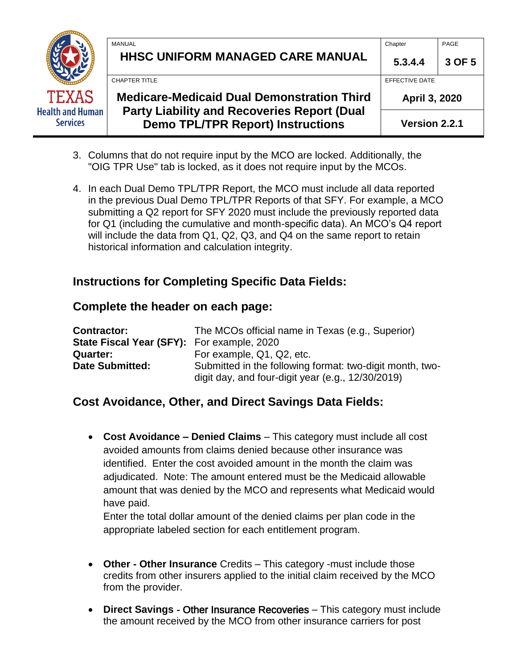|                                            | <b>MANUAL</b><br><b>HHSC UNIFORM MANAGED CARE MANUAL</b>                                       | Chapter<br>5.3.4.4             | PAGE<br>3 OF 5 |
|--------------------------------------------|------------------------------------------------------------------------------------------------|--------------------------------|----------------|
|                                            | <b>CHAPTER TITLE</b>                                                                           | EFFECTIVE DATE                 |                |
| <b>TEXAS</b>                               | <b>Medicare-Medicaid Dual Demonstration Third</b>                                              | April 3, 2020<br>Version 2.2.1 |                |
| <b>Health and Human</b><br><b>Services</b> | <b>Party Liability and Recoveries Report (Dual</b><br><b>Demo TPL/TPR Report) Instructions</b> |                                |                |

- 3. Columns that do not require input by the MCO are locked. Additionally, the "OIG TPR Use" tab is locked, as it does not require input by the MCOs.
- 4. In each Dual Demo TPL/TPR Report, the MCO must include all data reported in the previous Dual Demo TPL/TPR Reports of that SFY. For example, a MCO submitting a Q2 report for SFY 2020 must include the previously reported data for Q1 (including the cumulative and month-specific data). An MCO's Q4 report will include the data from Q1, Q2, Q3, and Q4 on the same report to retain historical information and calculation integrity.

# **Instructions for Completing Specific Data Fields:**

### **Complete the header on each page:**

| <b>Contractor:</b>                         | The MCOs official name in Texas (e.g., Superior)         |
|--------------------------------------------|----------------------------------------------------------|
| State Fiscal Year (SFY): For example, 2020 |                                                          |
| Quarter:                                   | For example, Q1, Q2, etc.                                |
| <b>Date Submitted:</b>                     | Submitted in the following format: two-digit month, two- |
|                                            | digit day, and four-digit year (e.g., $12/30/2019$ )     |

## **Cost Avoidance, Other, and Direct Savings Data Fields:**

• **Cost Avoidance – Denied Claims** – This category must include all cost avoided amounts from claims denied because other insurance was identified. Enter the cost avoided amount in the month the claim was adjudicated. Note: The amount entered must be the Medicaid allowable amount that was denied by the MCO and represents what Medicaid would have paid.

Enter the total dollar amount of the denied claims per plan code in the appropriate labeled section for each entitlement program.

- **Other Other Insurance** Credits This category -must include those credits from other insurers applied to the initial claim received by the MCO from the provider.
- **Direct Savings** Other Insurance Recoveries This category must include the amount received by the MCO from other insurance carriers for post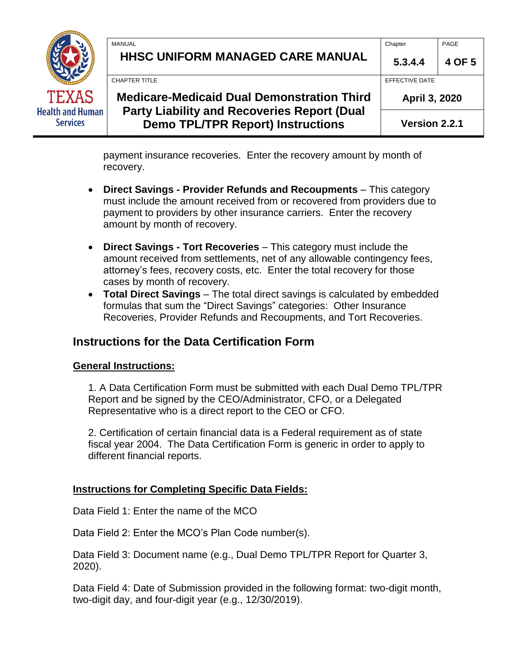|                                            | MANUAL                                                                                         | Chapter        | PAGE   |
|--------------------------------------------|------------------------------------------------------------------------------------------------|----------------|--------|
|                                            | HHSC UNIFORM MANAGED CARE MANUAL                                                               | 5.3.4.4        | 4 OF 5 |
|                                            | <b>CHAPTER TITLE</b>                                                                           | EFFECTIVE DATE |        |
| <b>TEXAS</b>                               | <b>Medicare-Medicaid Dual Demonstration Third</b>                                              | April 3, 2020  |        |
| <b>Health and Human</b><br><b>Services</b> | <b>Party Liability and Recoveries Report (Dual</b><br><b>Demo TPL/TPR Report) Instructions</b> | Version 2.2.1  |        |

payment insurance recoveries. Enter the recovery amount by month of recovery.

- **Direct Savings - Provider Refunds and Recoupments** This category must include the amount received from or recovered from providers due to payment to providers by other insurance carriers. Enter the recovery amount by month of recovery.
- **Direct Savings - Tort Recoveries** This category must include the amount received from settlements, net of any allowable contingency fees, attorney's fees, recovery costs, etc. Enter the total recovery for those cases by month of recovery.
- **Total Direct Savings** The total direct savings is calculated by embedded formulas that sum the "Direct Savings" categories: Other Insurance Recoveries, Provider Refunds and Recoupments, and Tort Recoveries.

## **Instructions for the Data Certification Form**

#### **General Instructions:**

1. A Data Certification Form must be submitted with each Dual Demo TPL/TPR Report and be signed by the CEO/Administrator, CFO, or a Delegated Representative who is a direct report to the CEO or CFO.

2. Certification of certain financial data is a Federal requirement as of state fiscal year 2004. The Data Certification Form is generic in order to apply to different financial reports.

### **Instructions for Completing Specific Data Fields:**

Data Field 1: Enter the name of the MCO

Data Field 2: Enter the MCO's Plan Code number(s).

Data Field 3: Document name (e.g., Dual Demo TPL/TPR Report for Quarter 3, 2020).

Data Field 4: Date of Submission provided in the following format: two-digit month, two-digit day, and four-digit year (e.g., 12/30/2019).